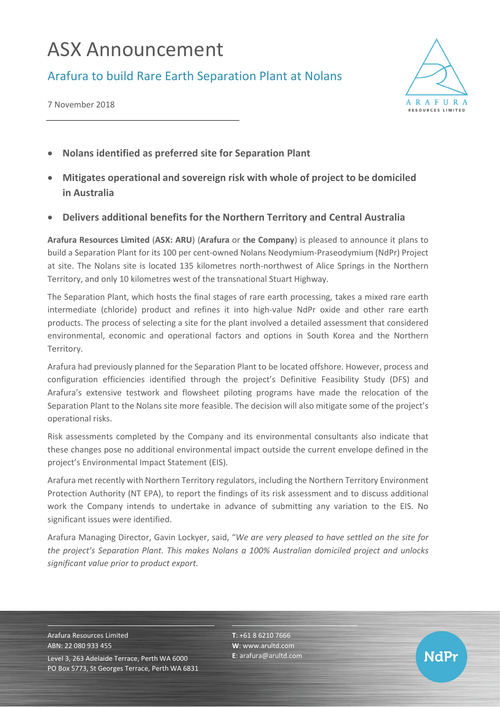## ASX Announcement

Arafura to build Rare Earth Separation Plant at Nolans

7 November 2018



- **Nolans identified as preferred site for Separation Plant**
- **Mitigates operational and sovereign risk with whole of project to be domiciled in Australia**
- **Delivers additional benefits for the Northern Territory and Central Australia**

**Arafura Resources Limited** (**ASX: ARU**) (**Arafura** or **the Company**) is pleased to announce it plans to build a Separation Plant for its 100 per cent-owned Nolans Neodymium-Praseodymium (NdPr) Project at site. The Nolans site is located 135 kilometres north-northwest of Alice Springs in the Northern Territory, and only 10 kilometres west of the transnational Stuart Highway.

The Separation Plant, which hosts the final stages of rare earth processing, takes a mixed rare earth intermediate (chloride) product and refines it into high-value NdPr oxide and other rare earth products. The process of selecting a site for the plant involved a detailed assessment that considered environmental, economic and operational factors and options in South Korea and the Northern Territory.

Arafura had previously planned for the Separation Plant to be located offshore. However, process and configuration efficiencies identified through the project's Definitive Feasibility Study (DFS) and Arafura's extensive testwork and flowsheet piloting programs have made the relocation of the Separation Plant to the Nolans site more feasible. The decision will also mitigate some of the project's operational risks.

Risk assessments completed by the Company and its environmental consultants also indicate that these changes pose no additional environmental impact outside the current envelope defined in the project's Environmental Impact Statement (EIS).

Arafura met recently with Northern Territory regulators, including the Northern Territory Environment Protection Authority (NT EPA), to report the findings of its risk assessment and to discuss additional work the Company intends to undertake in advance of submitting any variation to the EIS. No significant issues were identified.

Arafura Managing Director, Gavin Lockyer, said, "*We are very pleased to have settled on the site for the project's Separation Plant. This makes Nolans a 100% Australian domiciled project and unlocks significant value prior to product export.*

Arafura Resources Limited ABN: 22 080 933 455 Level 3, 263 Adelaide Terrace, Perth WA 6000 PO Box 5773, St Georges Terrace, Perth WA 6831 **T**: +61 8 6210 7666 **W**: [www.arultd.com](http://www.arultd.com/) **E**[: arafura@arultd.com](mailto:arafura@arultd.com)

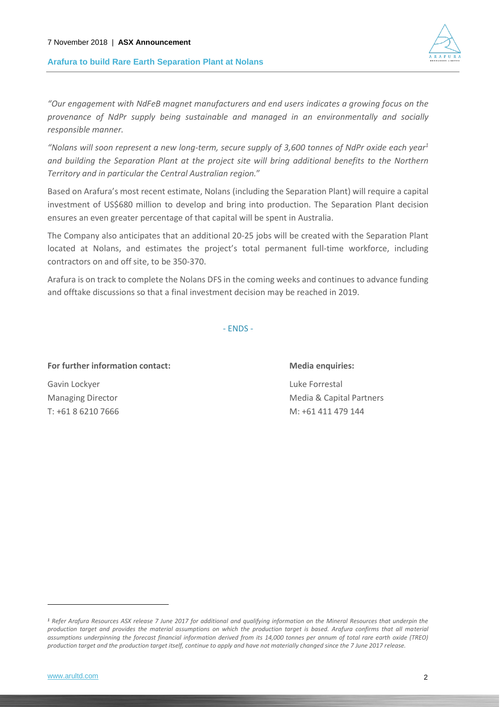## **Arafura to build Rare Earth Separation Plant at Nolans**



*"Nolans will soon represent a new long-term, secure supply of 3,600 tonnes of NdPr oxide each year<sup>1</sup> and building the Separation Plant at the project site will bring additional benefits to the Northern Territory and in particular the Central Australian region.*"

Based on Arafura's most recent estimate, Nolans (including the Separation Plant) will require a capital investment of US\$680 million to develop and bring into production. The Separation Plant decision ensures an even greater percentage of that capital will be spent in Australia.

The Company also anticipates that an additional 20-25 jobs will be created with the Separation Plant located at Nolans, and estimates the project's total permanent full-time workforce, including contractors on and off site, to be 350-370.

Arafura is on track to complete the Nolans DFS in the coming weeks and continues to advance funding and offtake discussions so that a final investment decision may be reached in 2019.

- ENDS -

For further information contact: Media enquiries:

Gavin Lockyer **Luke Forrestal** 

Managing Director **Media & Capital Partners** Media & Capital Partners T: +61 8 6210 7666 M: +61 411 479 144

-



*<sup>1</sup> Refer Arafura Resources ASX release 7 June 2017 for additional and qualifying information on the Mineral Resources that underpin the production target and provides the material assumptions on which the production target is based. Arafura confirms that all material assumptions underpinning the forecast financial information derived from its 14,000 tonnes per annum of total rare earth oxide (TREO) production target and the production target itself, continue to apply and have not materially changed since the 7 June 2017 release.*